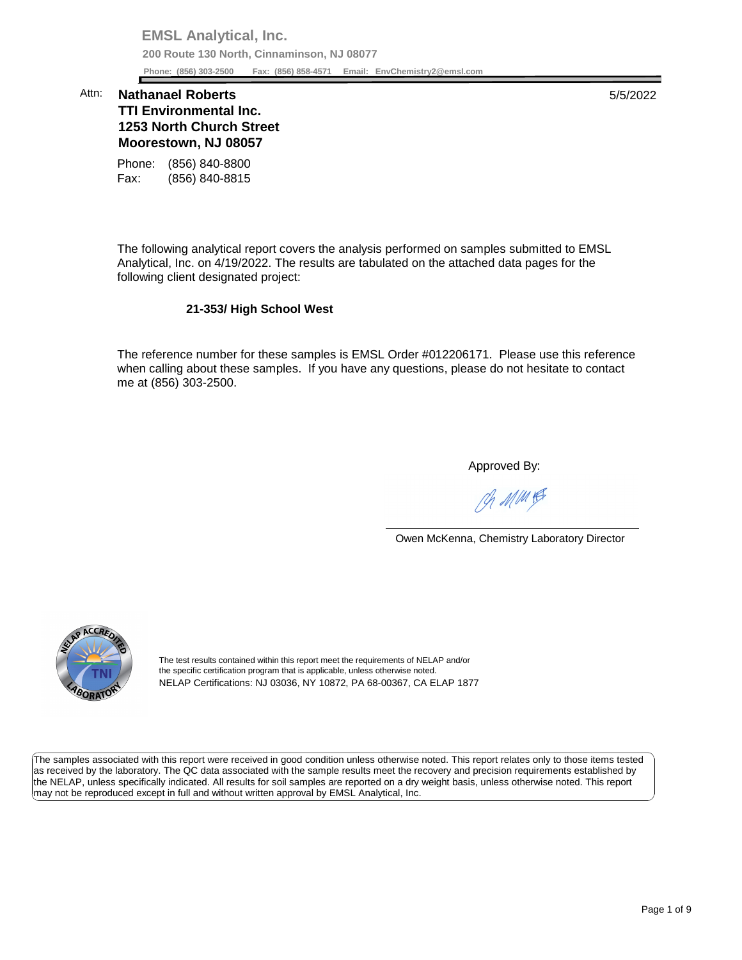**EMSL Analytical, Inc. 200 Route 130 North, Cinnaminson, NJ 08077 Phone: (856) 303-2500 Fax: (856) 858-4571 Email: [EnvChemistry2@emsl.com](mailto:EnvChemistry2@emsl.com)**  Phone: (856) 303-2500

## **1253 North Church Street Moorestown, NJ 08057**  Attn: **Nathanael Roberts** 5/5/2022 **TTI Environmental Inc.**

Phone: (856) 840-8800 Fax: (856) 840-8815

 The following analytical report covers the analysis performed on samples submitted to EMSL Analytical, Inc. on 4/19/2022. The results are tabulated on the attached data pages for the following client designated project:

## **21-353/ High School West**

 The reference number for these samples is EMSL Order #012206171. Please use this reference me at (856) 303-2500. when calling about these samples. If you have any questions, please do not hesitate to contact

Approved By:

Ph MMH

Owen McKenna, Chemistry Laboratory Director



The test results contained within this report meet the requirements of NELAP and/or the specific certification program that is applicable, unless otherwise noted. NELAP Certifications: NJ 03036, NY 10872, PA 68-00367, CA ELAP 1877

 The samples associated with this report were received in good condition unless otherwise noted. This report relates only to those items tested as received by the laboratory. The QC data associated with the sample results meet the recovery and precision requirements established by the NELAP, unless specifically indicated. All results for soil samples are reported on a dry weight basis, unless otherwise noted. This report may not be reproduced except in full and without written approval by EMSL Analytical, Inc.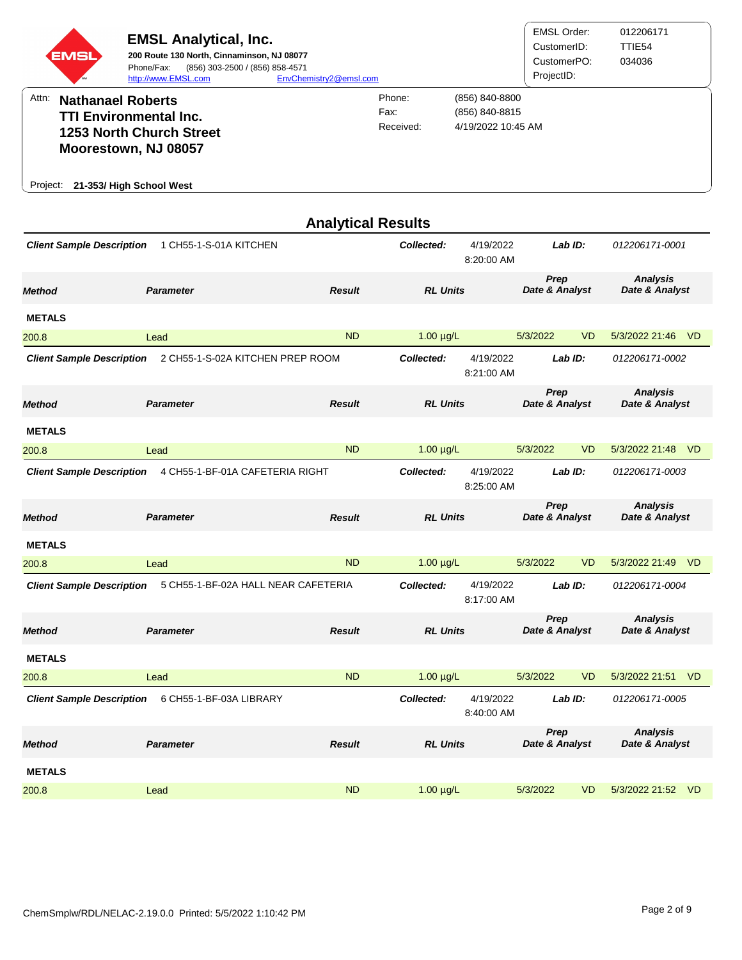| EMSL)    | <b>EMSL Analytical, Inc.</b><br>200 Route 130 North, Cinnaminson, NJ 08077<br>(856) 303-2500 / (856) 858-4571<br>Phone/Fax:<br>http://www.EMSL.com | EnvChemistry2@emsl.com |                             |                                                        | EMSL Order:<br>CustomerID:<br>CustomerPO:<br>ProjectID: | 012206171<br>TTIE54<br>034036 |
|----------|----------------------------------------------------------------------------------------------------------------------------------------------------|------------------------|-----------------------------|--------------------------------------------------------|---------------------------------------------------------|-------------------------------|
| Attn:    | <b>Nathanael Roberts</b><br><b>TTI Environmental Inc.</b><br>1253 North Church Street<br>Moorestown, NJ 08057                                      |                        | Phone:<br>Fax:<br>Received: | (856) 840-8800<br>(856) 840-8815<br>4/19/2022 10:45 AM |                                                         |                               |
| Proiect: | 21-353/ High School West                                                                                                                           |                        |                             |                                                        |                                                         |                               |

|                                  |                                     | <b>Analytical Results</b> |                 |                         |                        |           |                                   |           |
|----------------------------------|-------------------------------------|---------------------------|-----------------|-------------------------|------------------------|-----------|-----------------------------------|-----------|
| <b>Client Sample Description</b> | 1 CH55-1-S-01A KITCHEN              |                           | Collected:      | 4/19/2022<br>8:20:00 AM |                        | Lab ID:   | 012206171-0001                    |           |
| <b>Method</b>                    | <b>Parameter</b>                    | <b>Result</b>             | <b>RL Units</b> |                         | Prep<br>Date & Analyst |           | <b>Analysis</b><br>Date & Analyst |           |
| <b>METALS</b>                    |                                     |                           |                 |                         |                        |           |                                   |           |
| 200.8                            | Lead                                | <b>ND</b>                 | $1.00 \mu g/L$  |                         | 5/3/2022               | <b>VD</b> | 5/3/2022 21:46 VD                 |           |
| <b>Client Sample Description</b> | 2 CH55-1-S-02A KITCHEN PREP ROOM    |                           | Collected:      | 4/19/2022<br>8:21:00 AM |                        | Lab ID:   | 012206171-0002                    |           |
| <b>Method</b>                    | <b>Parameter</b>                    | <b>Result</b>             | <b>RL Units</b> |                         | Prep<br>Date & Analyst |           | <b>Analysis</b><br>Date & Analyst |           |
| <b>METALS</b>                    |                                     |                           |                 |                         |                        |           |                                   |           |
| 200.8                            | Lead                                | <b>ND</b>                 | $1.00 \mu g/L$  |                         | 5/3/2022               | <b>VD</b> | 5/3/2022 21:48                    | VD        |
| <b>Client Sample Description</b> | 4 CH55-1-BF-01A CAFETERIA RIGHT     |                           | Collected:      | 4/19/2022<br>8:25:00 AM |                        | Lab ID:   | 012206171-0003                    |           |
| <b>Method</b>                    | <b>Parameter</b>                    | <b>Result</b>             | <b>RL Units</b> |                         | Prep<br>Date & Analyst |           | <b>Analysis</b><br>Date & Analyst |           |
| <b>METALS</b>                    |                                     |                           |                 |                         |                        |           |                                   |           |
| 200.8                            | Lead                                | <b>ND</b>                 | $1.00 \mu g/L$  |                         | 5/3/2022               | <b>VD</b> | 5/3/2022 21:49                    | <b>VD</b> |
| <b>Client Sample Description</b> | 5 CH55-1-BF-02A HALL NEAR CAFETERIA |                           | Collected:      | 4/19/2022<br>8:17:00 AM |                        | Lab ID:   | 012206171-0004                    |           |
| <b>Method</b>                    | <b>Parameter</b>                    | <b>Result</b>             | <b>RL Units</b> |                         | Prep<br>Date & Analyst |           | <b>Analysis</b><br>Date & Analyst |           |
| <b>METALS</b>                    |                                     |                           |                 |                         |                        |           |                                   |           |
| 200.8                            | Lead                                | <b>ND</b>                 | $1.00 \mu g/L$  |                         | 5/3/2022               | <b>VD</b> | 5/3/2022 21:51                    | <b>VD</b> |
| <b>Client Sample Description</b> | 6 CH55-1-BF-03A LIBRARY             |                           | Collected:      | 4/19/2022<br>8:40:00 AM |                        | LabID:    | 012206171-0005                    |           |
| Method                           | <b>Parameter</b>                    | <b>Result</b>             | <b>RL Units</b> |                         | Prep<br>Date & Analyst |           | <b>Analysis</b><br>Date & Analyst |           |
| <b>METALS</b>                    |                                     |                           |                 |                         |                        |           |                                   |           |
| 200.8                            | Lead                                | <b>ND</b>                 | $1.00 \mu g/L$  |                         | 5/3/2022               | <b>VD</b> | 5/3/2022 21:52                    | <b>VD</b> |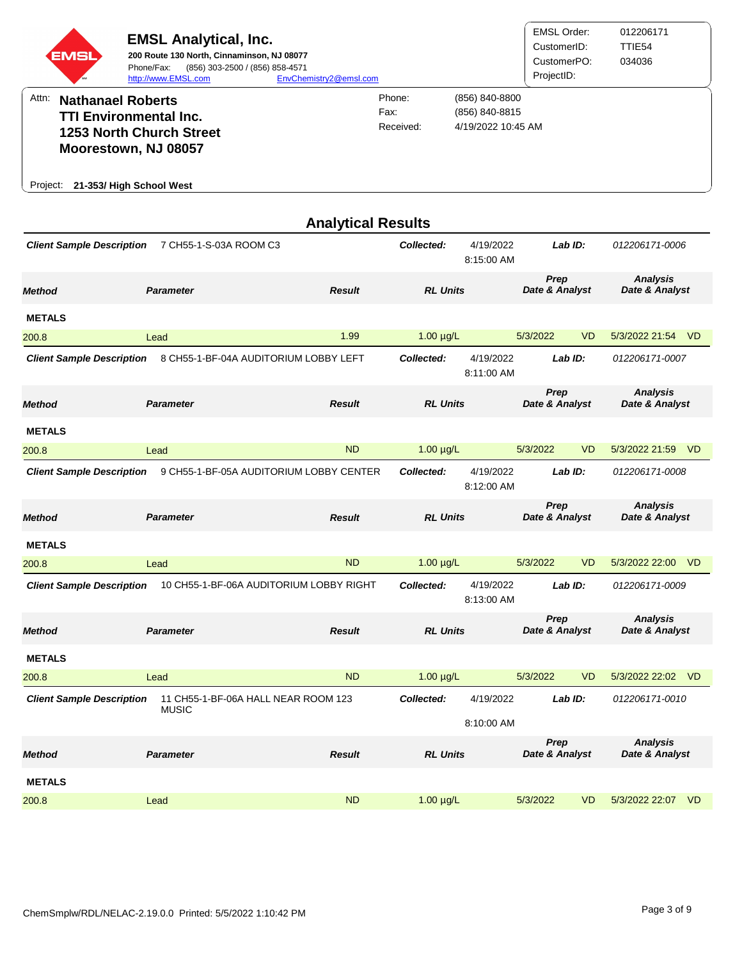|          | <b>EMSL</b>              | <b>EMSL Analytical, Inc.</b><br>200 Route 130 North, Cinnaminson, NJ 08077<br>(856) 303-2500 / (856) 858-4571<br>Phone/Fax:<br>http://www.EMSL.com | EnvChemistry2@emsl.com |                             |                                                        | <b>EMSL Order:</b><br>CustomerID:<br>CustomerPO:<br>ProjectID: | 012206171<br>TTIE54<br>034036 |
|----------|--------------------------|----------------------------------------------------------------------------------------------------------------------------------------------------|------------------------|-----------------------------|--------------------------------------------------------|----------------------------------------------------------------|-------------------------------|
| Attn:    | <b>Nathanael Roberts</b> | <b>TTI Environmental Inc.</b>                                                                                                                      |                        | Phone:<br>Fax:<br>Received: | (856) 840-8800<br>(856) 840-8815<br>4/19/2022 10:45 AM |                                                                |                               |
|          |                          | <b>1253 North Church Street</b><br>Moorestown, NJ 08057                                                                                            |                        |                             |                                                        |                                                                |                               |
| Project: |                          | 21-353/ High School West                                                                                                                           |                        |                             |                                                        |                                                                |                               |

|                                  |                                         | <b>Analytical Results</b> |                 |                         |                        |           |                                   |           |
|----------------------------------|-----------------------------------------|---------------------------|-----------------|-------------------------|------------------------|-----------|-----------------------------------|-----------|
| <b>Client Sample Description</b> | 7 CH55-1-S-03A ROOM C3                  |                           | Collected:      | 4/19/2022<br>8:15:00 AM |                        | Lab ID:   | 012206171-0006                    |           |
| <b>Method</b>                    | <b>Parameter</b>                        | <b>Result</b>             | <b>RL Units</b> |                         | Prep<br>Date & Analyst |           | <b>Analysis</b><br>Date & Analyst |           |
| <b>METALS</b>                    |                                         |                           |                 |                         |                        |           |                                   |           |
| 200.8                            | Lead                                    | 1.99                      | $1.00 \mu g/L$  |                         | 5/3/2022               | <b>VD</b> | 5/3/2022 21:54 VD                 |           |
| <b>Client Sample Description</b> | 8 CH55-1-BF-04A AUDITORIUM LOBBY LEFT   |                           | Collected:      | 4/19/2022<br>8:11:00 AM |                        | Lab ID:   | 012206171-0007                    |           |
| <b>Method</b>                    | <b>Parameter</b>                        | <b>Result</b>             | <b>RL Units</b> |                         | Prep<br>Date & Analyst |           | <b>Analysis</b><br>Date & Analyst |           |
| <b>METALS</b>                    |                                         |                           |                 |                         |                        |           |                                   |           |
| 200.8                            | Lead                                    | <b>ND</b>                 | $1.00 \mu g/L$  |                         | 5/3/2022               | <b>VD</b> | 5/3/2022 21:59                    | <b>VD</b> |
| <b>Client Sample Description</b> | 9 CH55-1-BF-05A AUDITORIUM LOBBY CENTER |                           | Collected:      | 4/19/2022<br>8:12:00 AM |                        | Lab ID:   | 012206171-0008                    |           |
| <b>Method</b>                    | <b>Parameter</b>                        | <b>Result</b>             | <b>RL Units</b> |                         | Prep<br>Date & Analyst |           | <b>Analysis</b><br>Date & Analyst |           |
| <b>METALS</b>                    |                                         |                           |                 |                         |                        |           |                                   |           |
| 200.8                            | Lead                                    | <b>ND</b>                 | $1.00 \mu g/L$  |                         | 5/3/2022               | <b>VD</b> | 5/3/2022 22:00                    | <b>VD</b> |
| <b>Client Sample Description</b> | 10 CH55-1-BF-06A AUDITORIUM LOBBY RIGHT |                           | Collected:      | 4/19/2022<br>8:13:00 AM |                        | Lab ID:   | 012206171-0009                    |           |
| <b>Method</b>                    | <b>Parameter</b>                        | <b>Result</b>             | <b>RL Units</b> |                         | Prep<br>Date & Analyst |           | <b>Analysis</b><br>Date & Analyst |           |
| <b>METALS</b>                    |                                         |                           |                 |                         |                        |           |                                   |           |
| 200.8                            | Lead                                    | <b>ND</b>                 | $1.00 \mu g/L$  |                         | 5/3/2022               | <b>VD</b> | 5/3/2022 22:02 VD                 |           |
| <b>Client Sample Description</b> | 11 CH55-1-BF-06A HALL NEAR ROOM 123     |                           | Collected:      | 4/19/2022               |                        | Lab ID:   | 012206171-0010                    |           |
|                                  | <b>MUSIC</b>                            |                           |                 | 8:10:00 AM              |                        |           |                                   |           |
| <b>Method</b>                    | <b>Parameter</b>                        | <b>Result</b>             | <b>RL Units</b> |                         | Prep<br>Date & Analyst |           | <b>Analysis</b><br>Date & Analyst |           |
| <b>METALS</b>                    |                                         |                           |                 |                         |                        |           |                                   |           |
| 200.8                            | Lead                                    | <b>ND</b>                 | $1.00 \mu g/L$  |                         | 5/3/2022               | <b>VD</b> | 5/3/2022 22:07                    | <b>VD</b> |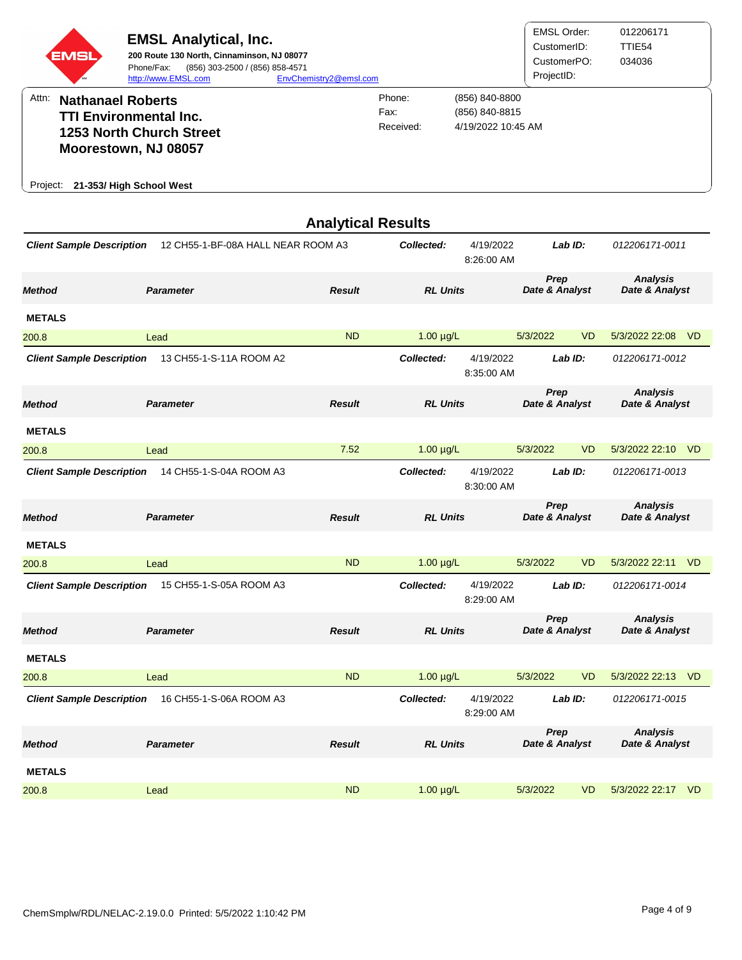| <b>EMSL</b> | <b>EMSL Analytical, Inc.</b><br>200 Route 130 North, Cinnaminson, NJ 08077<br>(856) 303-2500 / (856) 858-4571<br>Phone/Fax:<br>http://www.EMSL.com | EnvChemistry2@emsl.com |                             |                                                        | EMSL Order:<br>CustomerID:<br>CustomerPO:<br>ProjectID: | 012206171<br>TTIE54<br>034036 |
|-------------|----------------------------------------------------------------------------------------------------------------------------------------------------|------------------------|-----------------------------|--------------------------------------------------------|---------------------------------------------------------|-------------------------------|
| Attn:       | <b>Nathanael Roberts</b><br><b>TTI Environmental Inc.</b><br><b>1253 North Church Street</b><br>Moorestown, NJ 08057                               |                        | Phone:<br>Fax:<br>Received: | (856) 840-8800<br>(856) 840-8815<br>4/19/2022 10:45 AM |                                                         |                               |
| Project:    | 21-353/ High School West                                                                                                                           |                        |                             |                                                        |                                                         |                               |

|                                  |                                    | <b>Analytical Results</b> |                 |                         |                        |           |                                   |           |
|----------------------------------|------------------------------------|---------------------------|-----------------|-------------------------|------------------------|-----------|-----------------------------------|-----------|
| <b>Client Sample Description</b> | 12 CH55-1-BF-08A HALL NEAR ROOM A3 |                           | Collected:      | 4/19/2022<br>8:26:00 AM |                        | Lab $ID:$ | 012206171-0011                    |           |
| <b>Method</b>                    | <b>Parameter</b>                   | <b>Result</b>             | <b>RL Units</b> |                         | Prep<br>Date & Analyst |           | <b>Analysis</b><br>Date & Analyst |           |
| <b>METALS</b>                    |                                    |                           |                 |                         |                        |           |                                   |           |
| 200.8                            | Lead                               | <b>ND</b>                 | $1.00 \mu g/L$  |                         | 5/3/2022               | <b>VD</b> | 5/3/2022 22:08                    | -VD       |
| <b>Client Sample Description</b> | 13 CH55-1-S-11A ROOM A2            |                           | Collected:      | 4/19/2022<br>8:35:00 AM |                        | Lab ID:   | 012206171-0012                    |           |
| <b>Method</b>                    | <b>Parameter</b>                   | <b>Result</b>             | <b>RL Units</b> |                         | Prep<br>Date & Analyst |           | <b>Analysis</b><br>Date & Analyst |           |
| <b>METALS</b>                    |                                    |                           |                 |                         |                        |           |                                   |           |
| 200.8                            | Lead                               | 7.52                      | $1.00 \mu g/L$  |                         | 5/3/2022               | <b>VD</b> | 5/3/2022 22:10 VD                 |           |
| <b>Client Sample Description</b> | 14 CH55-1-S-04A ROOM A3            |                           | Collected:      | 4/19/2022<br>8:30:00 AM |                        | Lab ID:   | 012206171-0013                    |           |
| <b>Method</b>                    | <b>Parameter</b>                   | <b>Result</b>             | <b>RL Units</b> |                         | Prep<br>Date & Analyst |           | <b>Analysis</b><br>Date & Analyst |           |
| <b>METALS</b>                    |                                    |                           |                 |                         |                        |           |                                   |           |
| 200.8                            | Lead                               | <b>ND</b>                 | $1.00 \mu g/L$  |                         | 5/3/2022               | <b>VD</b> | 5/3/2022 22:11                    | <b>VD</b> |
| <b>Client Sample Description</b> | 15 CH55-1-S-05A ROOM A3            |                           | Collected:      | 4/19/2022<br>8:29:00 AM |                        | Lab ID:   | 012206171-0014                    |           |
| <b>Method</b>                    | <b>Parameter</b>                   | <b>Result</b>             | <b>RL Units</b> |                         | Prep<br>Date & Analyst |           | <b>Analysis</b><br>Date & Analyst |           |
| <b>METALS</b>                    |                                    |                           |                 |                         |                        |           |                                   |           |
| 200.8                            | Lead                               | <b>ND</b>                 | $1.00 \mu g/L$  |                         | 5/3/2022               | <b>VD</b> | 5/3/2022 22:13 VD                 |           |
| <b>Client Sample Description</b> | 16 CH55-1-S-06A ROOM A3            |                           | Collected:      | 4/19/2022<br>8:29:00 AM |                        | Lab ID:   | 012206171-0015                    |           |
| <b>Method</b>                    | <b>Parameter</b>                   | <b>Result</b>             | <b>RL Units</b> |                         | Prep<br>Date & Analyst |           | <b>Analysis</b><br>Date & Analyst |           |
| <b>METALS</b>                    |                                    |                           |                 |                         |                        |           |                                   |           |
| 200.8                            | Lead                               | <b>ND</b>                 | $1.00 \mu g/L$  |                         | 5/3/2022               | <b>VD</b> | 5/3/2022 22:17 VD                 |           |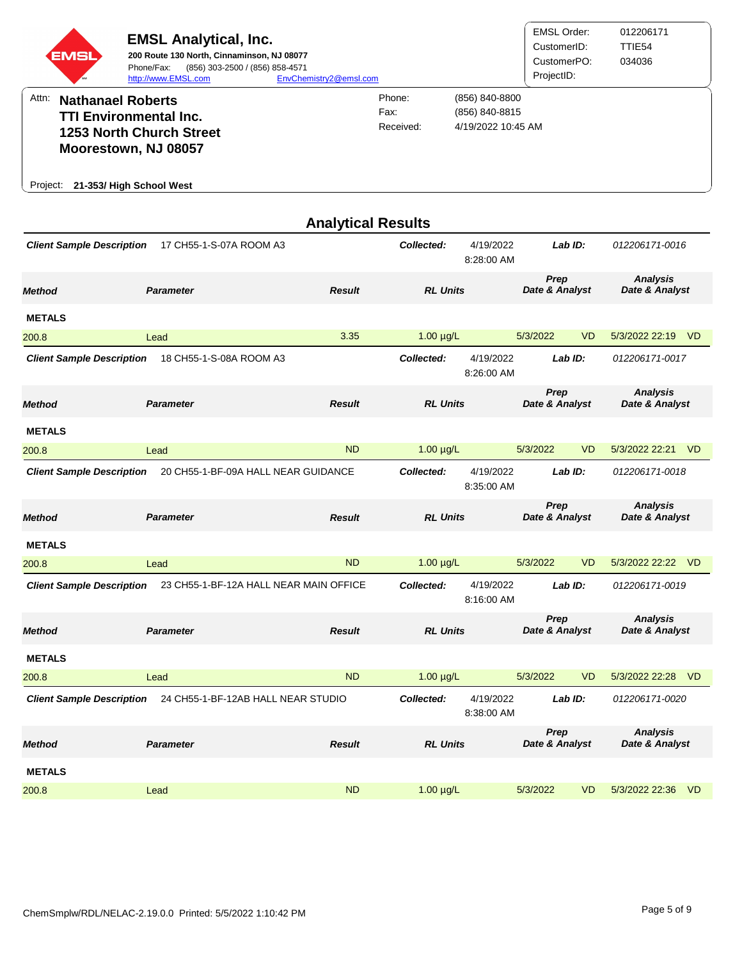| EMSL     | <b>EMSL Analytical, Inc.</b><br>200 Route 130 North, Cinnaminson, NJ 08077<br>(856) 303-2500 / (856) 858-4571<br>Phone/Fax:<br>http://www.EMSL.com | EnvChemistry2@emsl.com |                             |                                                        | <b>EMSL Order:</b><br>CustomerID:<br>CustomerPO:<br>ProjectID: | 012206171<br>TTIE54<br>034036 |
|----------|----------------------------------------------------------------------------------------------------------------------------------------------------|------------------------|-----------------------------|--------------------------------------------------------|----------------------------------------------------------------|-------------------------------|
| Attn:    | <b>Nathanael Roberts</b><br><b>TTI Environmental Inc.</b><br><b>1253 North Church Street</b><br>Moorestown, NJ 08057                               |                        | Phone:<br>Fax:<br>Received: | (856) 840-8800<br>(856) 840-8815<br>4/19/2022 10:45 AM |                                                                |                               |
| Proiect: | 21-353/ High School West                                                                                                                           |                        |                             |                                                        |                                                                |                               |

|                                  |                                        | <b>Analytical Results</b> |                 |                         |                        |           |                                   |           |
|----------------------------------|----------------------------------------|---------------------------|-----------------|-------------------------|------------------------|-----------|-----------------------------------|-----------|
| <b>Client Sample Description</b> | 17 CH55-1-S-07A ROOM A3                |                           | Collected:      | 4/19/2022<br>8:28:00 AM |                        | Lab ID:   | 012206171-0016                    |           |
| <b>Method</b>                    | <b>Parameter</b>                       | <b>Result</b>             | <b>RL Units</b> |                         | Prep<br>Date & Analyst |           | <b>Analysis</b><br>Date & Analyst |           |
| <b>METALS</b>                    |                                        |                           |                 |                         |                        |           |                                   |           |
| 200.8                            | Lead                                   | 3.35                      | $1.00 \mu g/L$  |                         | 5/3/2022               | <b>VD</b> | 5/3/2022 22:19                    | – VD      |
| <b>Client Sample Description</b> | 18 CH55-1-S-08A ROOM A3                |                           | Collected:      | 4/19/2022<br>8:26:00 AM |                        | Lab ID:   | 012206171-0017                    |           |
| <b>Method</b>                    | <b>Parameter</b>                       | <b>Result</b>             | <b>RL Units</b> |                         | Prep<br>Date & Analyst |           | <b>Analysis</b><br>Date & Analyst |           |
| <b>METALS</b>                    |                                        |                           |                 |                         |                        |           |                                   |           |
| 200.8                            | Lead                                   | <b>ND</b>                 | $1.00 \mu g/L$  |                         | 5/3/2022               | <b>VD</b> | 5/3/2022 22:21                    | <b>VD</b> |
| <b>Client Sample Description</b> | 20 CH55-1-BF-09A HALL NEAR GUIDANCE    |                           | Collected:      | 4/19/2022<br>8:35:00 AM |                        | Lab ID:   | 012206171-0018                    |           |
| <b>Method</b>                    | <b>Parameter</b>                       | <b>Result</b>             | <b>RL Units</b> |                         | Prep<br>Date & Analyst |           | <b>Analysis</b><br>Date & Analyst |           |
| <b>METALS</b>                    |                                        |                           |                 |                         |                        |           |                                   |           |
| 200.8                            | Lead                                   | <b>ND</b>                 | $1.00 \mu g/L$  |                         | 5/3/2022               | <b>VD</b> | 5/3/2022 22:22                    | – VD      |
| <b>Client Sample Description</b> | 23 CH55-1-BF-12A HALL NEAR MAIN OFFICE |                           | Collected:      | 4/19/2022<br>8:16:00 AM |                        | Lab ID:   | 012206171-0019                    |           |
| <b>Method</b>                    | <b>Parameter</b>                       | <b>Result</b>             | <b>RL Units</b> |                         | Prep<br>Date & Analyst |           | <b>Analysis</b><br>Date & Analyst |           |
| <b>METALS</b>                    |                                        |                           |                 |                         |                        |           |                                   |           |
| 200.8                            | Lead                                   | <b>ND</b>                 | $1.00 \mu g/L$  |                         | 5/3/2022               | <b>VD</b> | 5/3/2022 22:28                    | <b>VD</b> |
| <b>Client Sample Description</b> | 24 CH55-1-BF-12AB HALL NEAR STUDIO     |                           | Collected:      | 4/19/2022<br>8:38:00 AM |                        | Lab ID:   | 012206171-0020                    |           |
| <b>Method</b>                    | <b>Parameter</b>                       | <b>Result</b>             | <b>RL Units</b> |                         | Prep<br>Date & Analyst |           | <b>Analysis</b><br>Date & Analyst |           |
| <b>METALS</b>                    |                                        |                           |                 |                         |                        |           |                                   |           |
| 200.8                            | Lead                                   | <b>ND</b>                 | $1.00 \mu g/L$  |                         | 5/3/2022               | <b>VD</b> | 5/3/2022 22:36                    | VD        |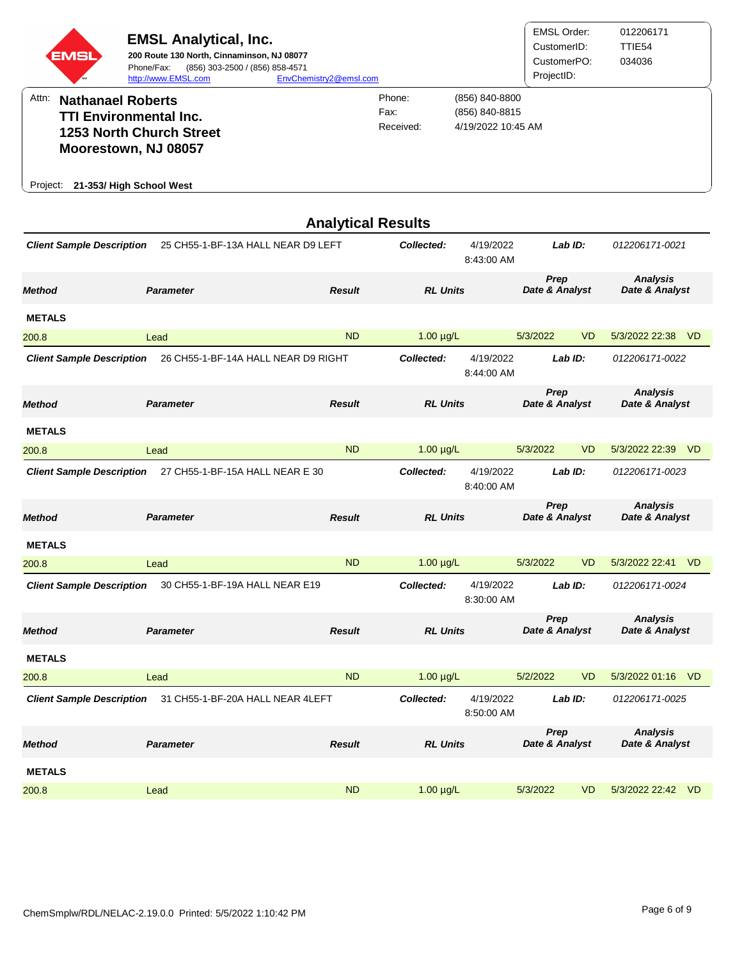| <b>EMSL</b> | <b>EMSL Analytical, Inc.</b><br>200 Route 130 North, Cinnaminson, NJ 08077<br>(856) 303-2500 / (856) 858-4571<br>Phone/Fax:<br>http://www.EMSL.com | EnvChemistry2@emsl.com      |                                                        | EMSL Order:<br>CustomerID:<br>CustomerPO:<br>ProjectID: | 012206171<br>TTIE54<br>034036 |
|-------------|----------------------------------------------------------------------------------------------------------------------------------------------------|-----------------------------|--------------------------------------------------------|---------------------------------------------------------|-------------------------------|
| Attn:       | <b>Nathanael Roberts</b><br><b>TTI Environmental Inc.</b><br><b>1253 North Church Street</b><br>Moorestown, NJ 08057                               | Phone:<br>Fax:<br>Received: | (856) 840-8800<br>(856) 840-8815<br>4/19/2022 10:45 AM |                                                         |                               |
| Project:    | 21-353/ High School West                                                                                                                           |                             |                                                        |                                                         |                               |

|                                  |                                     | <b>Analytical Results</b> |                 |                         |                        |           |                                   |                |
|----------------------------------|-------------------------------------|---------------------------|-----------------|-------------------------|------------------------|-----------|-----------------------------------|----------------|
| <b>Client Sample Description</b> | 25 CH55-1-BF-13A HALL NEAR D9 LEFT  |                           | Collected:      | 4/19/2022<br>8:43:00 AM |                        | Lab ID:   | 012206171-0021                    |                |
| <b>Method</b>                    | <b>Parameter</b>                    | <b>Result</b>             | <b>RL Units</b> |                         | Prep<br>Date & Analyst |           | <b>Analysis</b><br>Date & Analyst |                |
| <b>METALS</b>                    |                                     |                           |                 |                         |                        |           |                                   |                |
| 200.8                            | Lead                                | <b>ND</b>                 | $1.00 \mu g/L$  |                         | 5/3/2022               | <b>VD</b> | 5/3/2022 22:38 VD                 |                |
| <b>Client Sample Description</b> | 26 CH55-1-BF-14A HALL NEAR D9 RIGHT |                           | Collected:      | 4/19/2022<br>8:44:00 AM |                        | Lab ID:   | 012206171-0022                    |                |
| <b>Method</b>                    | <b>Parameter</b>                    | <b>Result</b>             | <b>RL Units</b> |                         | Prep<br>Date & Analyst |           | <b>Analysis</b><br>Date & Analyst |                |
| <b>METALS</b>                    |                                     |                           |                 |                         |                        |           |                                   |                |
| 200.8                            | Lead                                | <b>ND</b>                 | $1.00 \mu g/L$  |                         | 5/3/2022               | <b>VD</b> | 5/3/2022 22:39 VD                 |                |
| <b>Client Sample Description</b> | 27 CH55-1-BF-15A HALL NEAR E 30     |                           | Collected:      | 4/19/2022<br>8:40:00 AM |                        | Lab ID:   | 012206171-0023                    |                |
| <b>Method</b>                    | <b>Parameter</b>                    | <b>Result</b>             | <b>RL Units</b> |                         | Prep<br>Date & Analyst |           | <b>Analysis</b><br>Date & Analyst |                |
| <b>METALS</b>                    |                                     |                           |                 |                         |                        |           |                                   |                |
| 200.8                            | Lead                                | <b>ND</b>                 | $1.00 \mu g/L$  |                         | 5/3/2022               | <b>VD</b> | 5/3/2022 22:41                    | V <sub>D</sub> |
| <b>Client Sample Description</b> | 30 CH55-1-BF-19A HALL NEAR E19      |                           | Collected:      | 4/19/2022<br>8:30:00 AM |                        | Lab ID:   | 012206171-0024                    |                |
| <b>Method</b>                    | <b>Parameter</b>                    | <b>Result</b>             | <b>RL Units</b> |                         | Prep<br>Date & Analyst |           | <b>Analysis</b><br>Date & Analyst |                |
| <b>METALS</b>                    |                                     |                           |                 |                         |                        |           |                                   |                |
| 200.8                            | Lead                                | <b>ND</b>                 | $1.00 \mu g/L$  |                         | 5/2/2022               | <b>VD</b> | 5/3/2022 01:16 VD                 |                |
| <b>Client Sample Description</b> | 31 CH55-1-BF-20A HALL NEAR 4LEFT    |                           | Collected:      | 4/19/2022<br>8:50:00 AM |                        | Lab ID:   | 012206171-0025                    |                |
| <b>Method</b>                    | <b>Parameter</b>                    | <b>Result</b>             | <b>RL Units</b> |                         | Prep<br>Date & Analyst |           | <b>Analysis</b><br>Date & Analyst |                |
| <b>METALS</b>                    |                                     |                           |                 |                         |                        |           |                                   |                |
| 200.8                            | Lead                                | <b>ND</b>                 | $1.00 \mu g/L$  |                         | 5/3/2022               | <b>VD</b> | 5/3/2022 22:42                    | - VD           |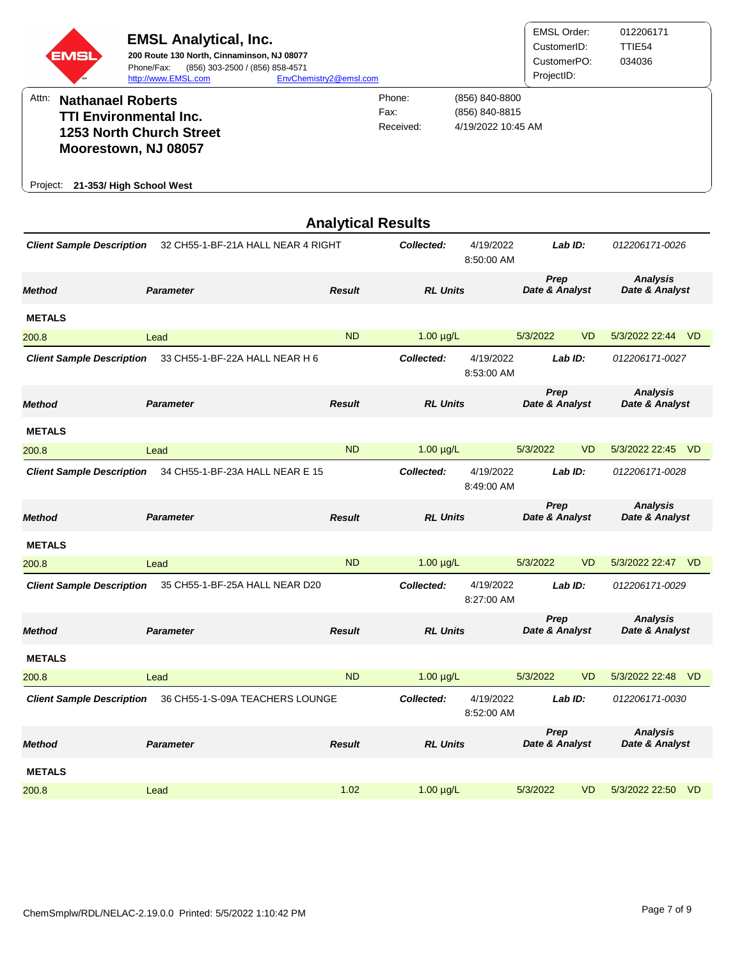| <b>EMSL</b> | <b>EMSL Analytical, Inc.</b><br>200 Route 130 North, Cinnaminson, NJ 08077<br>(856) 303-2500 / (856) 858-4571<br>Phone/Fax:<br>http://www.EMSL.com | EnvChemistry2@emsl.com |                             |                                                        | <b>EMSL Order:</b><br>CustomerID:<br>CustomerPO:<br>ProjectID: | 012206171<br>TTIE <sub>54</sub><br>034036 |
|-------------|----------------------------------------------------------------------------------------------------------------------------------------------------|------------------------|-----------------------------|--------------------------------------------------------|----------------------------------------------------------------|-------------------------------------------|
| Attn:       | <b>Nathanael Roberts</b><br><b>TTI Environmental Inc.</b><br>1253 North Church Street<br>Moorestown, NJ 08057                                      |                        | Phone:<br>Fax:<br>Received: | (856) 840-8800<br>(856) 840-8815<br>4/19/2022 10:45 AM |                                                                |                                           |
| Project:    | 21-353/ High School West                                                                                                                           |                        |                             |                                                        |                                                                |                                           |

|                                  |                                    | <b>Analytical Results</b> |                 |                         |                        |           |                                   |           |
|----------------------------------|------------------------------------|---------------------------|-----------------|-------------------------|------------------------|-----------|-----------------------------------|-----------|
| <b>Client Sample Description</b> | 32 CH55-1-BF-21A HALL NEAR 4 RIGHT |                           | Collected:      | 4/19/2022<br>8:50:00 AM |                        | Lab ID:   | 012206171-0026                    |           |
| <b>Method</b>                    | <b>Parameter</b>                   | <b>Result</b>             | <b>RL Units</b> |                         | Prep<br>Date & Analyst |           | <b>Analysis</b><br>Date & Analyst |           |
| <b>METALS</b>                    |                                    |                           |                 |                         |                        |           |                                   |           |
| 200.8                            | Lead                               | <b>ND</b>                 | $1.00 \mu g/L$  |                         | 5/3/2022               | <b>VD</b> | 5/3/2022 22:44 VD                 |           |
| <b>Client Sample Description</b> | 33 CH55-1-BF-22A HALL NEAR H 6     |                           | Collected:      | 4/19/2022<br>8:53:00 AM |                        | Lab ID:   | 012206171-0027                    |           |
| <b>Method</b>                    | <b>Parameter</b>                   | <b>Result</b>             | <b>RL Units</b> |                         | Prep<br>Date & Analyst |           | <b>Analysis</b><br>Date & Analyst |           |
| <b>METALS</b>                    |                                    |                           |                 |                         |                        |           |                                   |           |
| 200.8                            | Lead                               | <b>ND</b>                 | $1.00 \mu g/L$  |                         | 5/3/2022               | <b>VD</b> | 5/3/2022 22:45 VD                 |           |
| <b>Client Sample Description</b> | 34 CH55-1-BF-23A HALL NEAR E 15    |                           | Collected:      | 4/19/2022<br>8:49:00 AM |                        | Lab ID:   | 012206171-0028                    |           |
| <b>Method</b>                    | <b>Parameter</b>                   | <b>Result</b>             | <b>RL Units</b> |                         | Prep<br>Date & Analyst |           | <b>Analysis</b><br>Date & Analyst |           |
| <b>METALS</b>                    |                                    |                           |                 |                         |                        |           |                                   |           |
| 200.8                            | Lead                               | <b>ND</b>                 | $1.00 \mu g/L$  |                         | 5/3/2022               | <b>VD</b> | 5/3/2022 22:47                    | – VD      |
| <b>Client Sample Description</b> | 35 CH55-1-BF-25A HALL NEAR D20     |                           | Collected:      | 4/19/2022<br>8:27:00 AM |                        | Lab ID:   | 012206171-0029                    |           |
| <b>Method</b>                    | <b>Parameter</b>                   | <b>Result</b>             | <b>RL Units</b> |                         | Prep<br>Date & Analyst |           | <b>Analysis</b><br>Date & Analyst |           |
| <b>METALS</b>                    |                                    |                           |                 |                         |                        |           |                                   |           |
| 200.8                            | Lead                               | <b>ND</b>                 | $1.00 \mu g/L$  |                         | 5/3/2022               | <b>VD</b> | 5/3/2022 22:48                    | – VD      |
| <b>Client Sample Description</b> | 36 CH55-1-S-09A TEACHERS LOUNGE    |                           | Collected:      | 4/19/2022<br>8:52:00 AM |                        | Lab ID:   | 012206171-0030                    |           |
| <b>Method</b>                    | <b>Parameter</b>                   | <b>Result</b>             | <b>RL Units</b> |                         | Prep<br>Date & Analyst |           | <b>Analysis</b><br>Date & Analyst |           |
| <b>METALS</b>                    |                                    |                           |                 |                         |                        |           |                                   |           |
| 200.8                            | Lead                               | 1.02                      | $1.00 \mu g/L$  |                         | 5/3/2022               | <b>VD</b> | 5/3/2022 22:50                    | <b>VD</b> |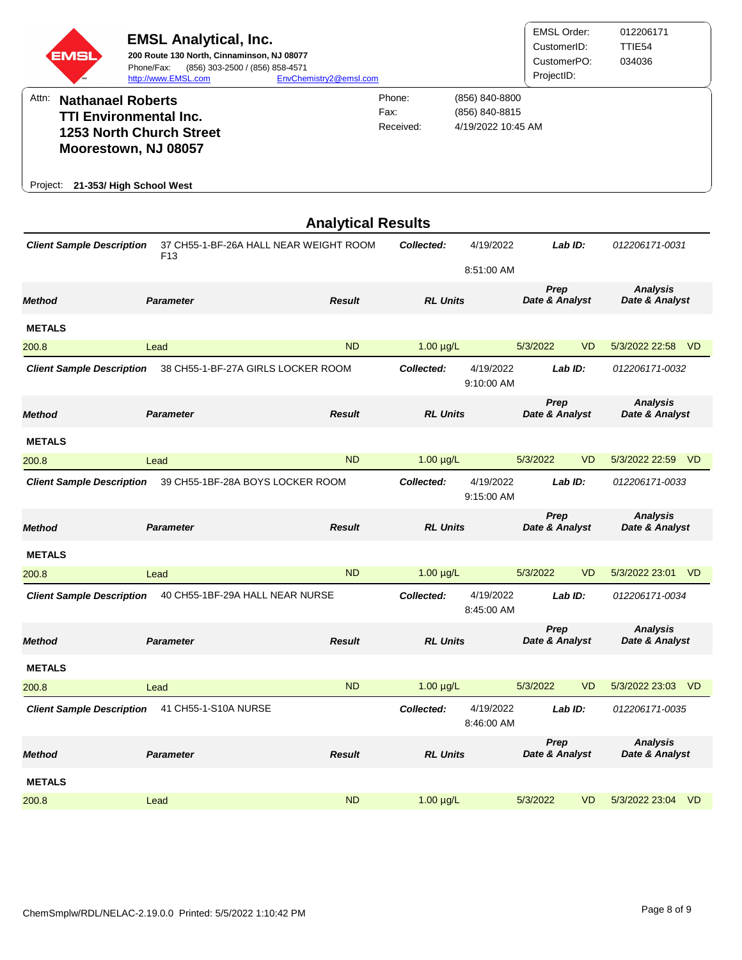| EMSI                                                                                                                               | <b>EMSL Analytical, Inc.</b><br>200 Route 130 North, Cinnaminson, NJ 08077<br>Phone/Fax:<br>(856) 303-2500 / (856) 858-4571<br>http://www.EMSL.com | EnvChemistry2@emsl.com    |                             |                                                        | <b>EMSL Order:</b><br>CustomerID:<br>CustomerPO:<br>ProjectID: |           | 012206171<br>TTIE54<br>034036     |      |
|------------------------------------------------------------------------------------------------------------------------------------|----------------------------------------------------------------------------------------------------------------------------------------------------|---------------------------|-----------------------------|--------------------------------------------------------|----------------------------------------------------------------|-----------|-----------------------------------|------|
| Attn:<br><b>Nathanael Roberts</b><br><b>TTI Environmental Inc.</b><br>Moorestown, NJ 08057<br>21-353/ High School West<br>Project: | 1253 North Church Street                                                                                                                           |                           | Phone:<br>Fax:<br>Received: | (856) 840-8800<br>(856) 840-8815<br>4/19/2022 10:45 AM |                                                                |           |                                   |      |
|                                                                                                                                    |                                                                                                                                                    | <b>Analytical Results</b> |                             |                                                        |                                                                |           |                                   |      |
| <b>Client Sample Description</b>                                                                                                   | 37 CH55-1-BF-26A HALL NEAR WEIGHT ROOM                                                                                                             |                           | Collected:                  | 4/19/2022                                              | Lab ID:                                                        |           | 012206171-0031                    |      |
|                                                                                                                                    | F <sub>13</sub>                                                                                                                                    |                           |                             |                                                        |                                                                |           |                                   |      |
| <b>Method</b>                                                                                                                      | <b>Parameter</b>                                                                                                                                   | <b>Result</b>             | <b>RL Units</b>             |                                                        | Prep<br>Date & Analyst                                         |           | <b>Analysis</b><br>Date & Analyst |      |
| <b>METALS</b>                                                                                                                      |                                                                                                                                                    |                           |                             |                                                        |                                                                |           |                                   |      |
| 200.8                                                                                                                              | Lead                                                                                                                                               | <b>ND</b>                 | $1.00 \mu g/L$              |                                                        | 5/3/2022                                                       | <b>VD</b> | 5/3/2022 22:58                    | - VD |
| <b>Client Sample Description</b>                                                                                                   | 38 CH55-1-BF-27A GIRLS LOCKER ROOM                                                                                                                 |                           | Collected:                  | 4/19/2022<br>9:10:00 AM                                | Lab ID:                                                        |           | 012206171-0032                    |      |
| <b>Method</b>                                                                                                                      | <b>Parameter</b>                                                                                                                                   | <b>Result</b>             | <b>RL Units</b>             |                                                        | Prep<br>Date & Analyst                                         |           | <b>Analysis</b><br>Date & Analyst |      |
| <b>METALS</b>                                                                                                                      |                                                                                                                                                    |                           |                             |                                                        |                                                                |           |                                   |      |
| 200.8                                                                                                                              | Lead                                                                                                                                               | <b>ND</b>                 | $1.00 \mu g/L$              |                                                        | 5/3/2022                                                       | <b>VD</b> | 5/3/2022 22:59 VD                 |      |
| <b>Client Sample Description</b>                                                                                                   | 39 CH55-1BF-28A BOYS LOCKER ROOM                                                                                                                   |                           | Collected:                  | 4/19/2022<br>9:15:00 AM                                | Lab ID:                                                        |           | 012206171-0033                    |      |
| <b>Method</b>                                                                                                                      | <b>Parameter</b>                                                                                                                                   | <b>Result</b>             | <b>RL Units</b>             |                                                        | Prep<br>Date & Analyst                                         |           | <b>Analysis</b><br>Date & Analyst |      |
| <b>METALS</b>                                                                                                                      |                                                                                                                                                    |                           |                             |                                                        |                                                                |           |                                   |      |
| 200.8                                                                                                                              | Lead                                                                                                                                               | <b>ND</b>                 | $1.00 \mu g/L$              |                                                        | 5/3/2022                                                       | <b>VD</b> | 5/3/2022 23:01 VD                 |      |
| <b>Client Sample Description</b>                                                                                                   | 40 CH55-1BF-29A HALL NEAR NURSE                                                                                                                    |                           | Collected:                  | 4/19/2022<br>8:45:00 AM                                | Lab ID:                                                        |           | 012206171-0034                    |      |
| <b>Method</b>                                                                                                                      | <b>Parameter</b>                                                                                                                                   | <b>Result</b>             | <b>RL Units</b>             |                                                        | Prep<br>Date & Analyst                                         |           | <b>Analysis</b><br>Date & Analyst |      |
| <b>METALS</b>                                                                                                                      |                                                                                                                                                    |                           |                             |                                                        |                                                                |           |                                   |      |
| 200.8                                                                                                                              | Lead                                                                                                                                               | <b>ND</b>                 | $1.00 \mu g/L$              |                                                        | 5/3/2022                                                       | <b>VD</b> | 5/3/2022 23:03                    | - VD |
| <b>Client Sample Description</b>                                                                                                   | 41 CH55-1-S10A NURSE                                                                                                                               |                           | Collected:                  | 4/19/2022<br>8:46:00 AM                                | Lab ID:                                                        |           | 012206171-0035                    |      |
| <b>Method</b>                                                                                                                      | <b>Parameter</b>                                                                                                                                   | <b>Result</b>             | <b>RL Units</b>             |                                                        | Prep<br>Date & Analyst                                         |           | <b>Analysis</b><br>Date & Analyst |      |
| <b>METALS</b>                                                                                                                      |                                                                                                                                                    |                           |                             |                                                        |                                                                |           |                                   |      |
| 200.8                                                                                                                              | Lead                                                                                                                                               | <b>ND</b>                 | $1.00 \mu g/L$              |                                                        | 5/3/2022                                                       | <b>VD</b> | 5/3/2022 23:04 VD                 |      |